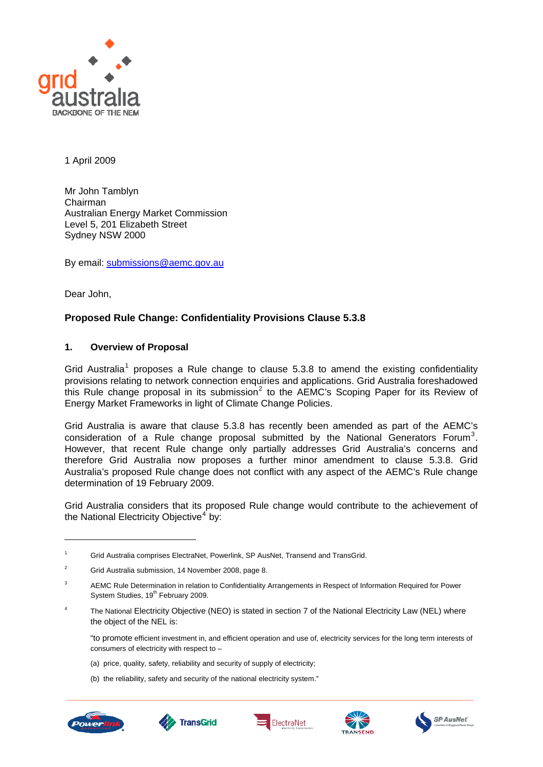

1 April 2009

Mr John Tamblyn Chairman Australian Energy Market Commission Level 5, 201 Elizabeth Street Sydney NSW 2000

By email: [submissions@aemc.gov.au](mailto:submissions@aemc.gov.au)

Dear John,

# **Proposed Rule Change: Confidentiality Provisions Clause 5.3.8**

### **1. Overview of Proposal**

Grid Australia<sup>[1](#page-0-0)</sup> proposes a Rule change to clause  $5.3.8$  to amend the existing confidentiality provisions relating to network connection enquiries and applications. Grid Australia foreshadowed this Rule change proposal in its submission<sup>[2](#page-0-1)</sup> to the AEMC's Scoping Paper for its Review of Energy Market Frameworks in light of Climate Change Policies.

Grid Australia is aware that clause 5.3.8 has recently been amended as part of the AEMC's consideration of a Rule change proposal submitted by the National Generators Forum<sup>[3](#page-0-2)</sup>. However, that recent Rule change only partially addresses Grid Australia's concerns and therefore Grid Australia now proposes a further minor amendment to clause 5.3.8. Grid Australia's proposed Rule change does not conflict with any aspect of the AEMC's Rule change determination of 19 February 2009.

Grid Australia considers that its proposed Rule change would contribute to the achievement of the National Electricity Objective<sup>[4](#page-0-3)</sup> by:

<span id="page-0-3"></span>4 The National Electricity Objective (NEO) is stated in section 7 of the National Electricity Law (NEL) where the object of the NEL is:

"to promote efficient investment in, and efficient operation and use of, electricity services for the long term interests of consumers of electricity with respect to –

- (a) price, quality, safety, reliability and security of supply of electricity;
- (b) the reliability, safety and security of the national electricity system."



-









<span id="page-0-0"></span><sup>1</sup> Grid Australia comprises ElectraNet, Powerlink, SP AusNet, Transend and TransGrid.

<span id="page-0-1"></span><sup>2</sup> Grid Australia submission, 14 November 2008, page 8.

<span id="page-0-2"></span><sup>3</sup> AEMC Rule Determination in relation to Confidentiality Arrangements in Respect of Information Required for Power System Studies, 19<sup>th</sup> February 2009.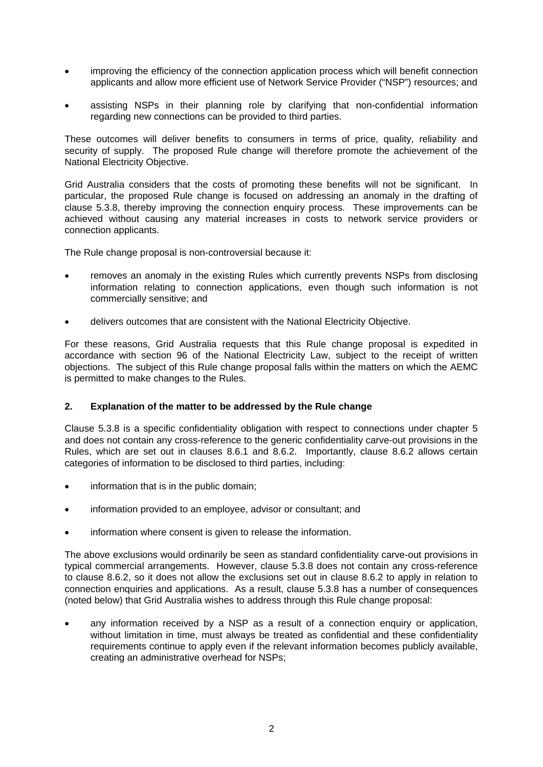- improving the efficiency of the connection application process which will benefit connection applicants and allow more efficient use of Network Service Provider ("NSP") resources; and
- assisting NSPs in their planning role by clarifying that non-confidential information regarding new connections can be provided to third parties.

These outcomes will deliver benefits to consumers in terms of price, quality, reliability and security of supply. The proposed Rule change will therefore promote the achievement of the National Electricity Objective.

Grid Australia considers that the costs of promoting these benefits will not be significant. In particular, the proposed Rule change is focused on addressing an anomaly in the drafting of clause 5.3.8, thereby improving the connection enquiry process. These improvements can be achieved without causing any material increases in costs to network service providers or connection applicants.

The Rule change proposal is non-controversial because it:

- removes an anomaly in the existing Rules which currently prevents NSPs from disclosing information relating to connection applications, even though such information is not commercially sensitive; and
- delivers outcomes that are consistent with the National Electricity Objective.

For these reasons, Grid Australia requests that this Rule change proposal is expedited in accordance with section 96 of the National Electricity Law, subject to the receipt of written objections. The subject of this Rule change proposal falls within the matters on which the AEMC is permitted to make changes to the Rules.

#### **2. Explanation of the matter to be addressed by the Rule change**

Clause 5.3.8 is a specific confidentiality obligation with respect to connections under chapter 5 and does not contain any cross-reference to the generic confidentiality carve-out provisions in the Rules, which are set out in clauses 8.6.1 and 8.6.2. Importantly, clause 8.6.2 allows certain categories of information to be disclosed to third parties, including:

- information that is in the public domain;
- information provided to an employee, advisor or consultant; and
- information where consent is given to release the information.

The above exclusions would ordinarily be seen as standard confidentiality carve-out provisions in typical commercial arrangements. However, clause 5.3.8 does not contain any cross-reference to clause 8.6.2, so it does not allow the exclusions set out in clause 8.6.2 to apply in relation to connection enquiries and applications. As a result, clause 5.3.8 has a number of consequences (noted below) that Grid Australia wishes to address through this Rule change proposal:

any information received by a NSP as a result of a connection enquiry or application, without limitation in time, must always be treated as confidential and these confidentiality requirements continue to apply even if the relevant information becomes publicly available, creating an administrative overhead for NSPs;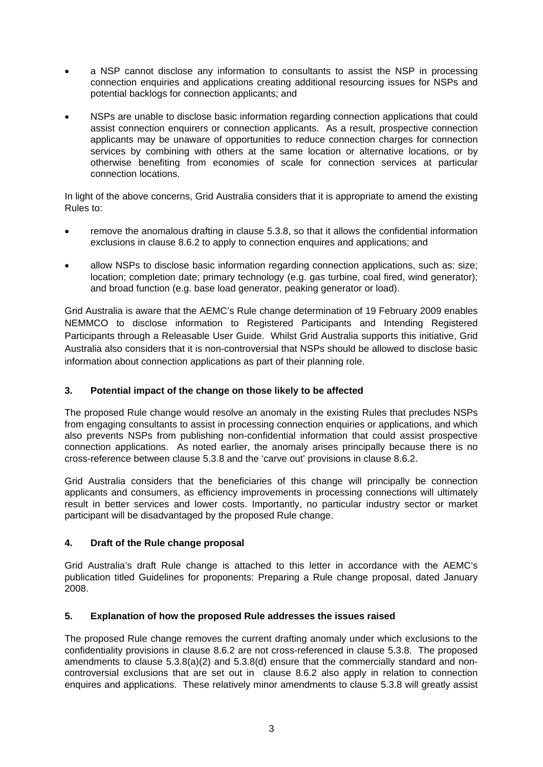- a NSP cannot disclose any information to consultants to assist the NSP in processing connection enquiries and applications creating additional resourcing issues for NSPs and potential backlogs for connection applicants; and
- NSPs are unable to disclose basic information regarding connection applications that could assist connection enquirers or connection applicants. As a result, prospective connection applicants may be unaware of opportunities to reduce connection charges for connection services by combining with others at the same location or alternative locations, or by otherwise benefiting from economies of scale for connection services at particular connection locations.

In light of the above concerns, Grid Australia considers that it is appropriate to amend the existing Rules to:

- remove the anomalous drafting in clause 5.3.8, so that it allows the confidential information exclusions in clause 8.6.2 to apply to connection enquires and applications; and
- allow NSPs to disclose basic information regarding connection applications, such as: size; location; completion date; primary technology (e.g. gas turbine, coal fired, wind generator); and broad function (e.g. base load generator, peaking generator or load).

Grid Australia is aware that the AEMC's Rule change determination of 19 February 2009 enables NEMMCO to disclose information to Registered Participants and Intending Registered Participants through a Releasable User Guide. Whilst Grid Australia supports this initiative, Grid Australia also considers that it is non-controversial that NSPs should be allowed to disclose basic information about connection applications as part of their planning role.

## **3. Potential impact of the change on those likely to be affected**

The proposed Rule change would resolve an anomaly in the existing Rules that precludes NSPs from engaging consultants to assist in processing connection enquiries or applications, and which also prevents NSPs from publishing non-confidential information that could assist prospective connection applications. As noted earlier, the anomaly arises principally because there is no cross-reference between clause 5.3.8 and the 'carve out' provisions in clause 8.6.2.

Grid Australia considers that the beneficiaries of this change will principally be connection applicants and consumers, as efficiency improvements in processing connections will ultimately result in better services and lower costs. Importantly, no particular industry sector or market participant will be disadvantaged by the proposed Rule change.

## **4. Draft of the Rule change proposal**

Grid Australia's draft Rule change is attached to this letter in accordance with the AEMC's publication titled Guidelines for proponents: Preparing a Rule change proposal, dated January 2008.

## **5. Explanation of how the proposed Rule addresses the issues raised**

The proposed Rule change removes the current drafting anomaly under which exclusions to the confidentiality provisions in clause 8.6.2 are not cross-referenced in clause 5.3.8. The proposed amendments to clause  $5.3.8(a)(2)$  and  $5.3.8(d)$  ensure that the commercially standard and noncontroversial exclusions that are set out in clause 8.6.2 also apply in relation to connection enquires and applications. These relatively minor amendments to clause 5.3.8 will greatly assist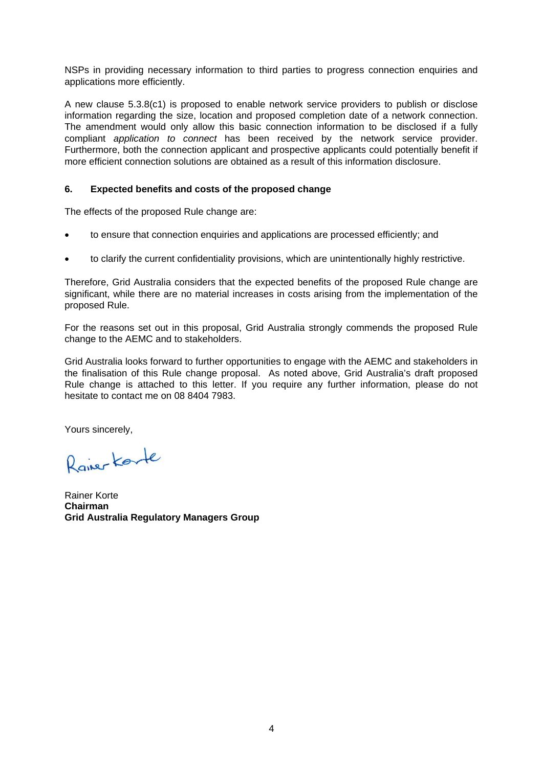NSPs in providing necessary information to third parties to progress connection enquiries and applications more efficiently.

A new clause 5.3.8(c1) is proposed to enable network service providers to publish or disclose information regarding the size, location and proposed completion date of a network connection. The amendment would only allow this basic connection information to be disclosed if a fully compliant *application to connect* has been received by the network service provider. Furthermore, both the connection applicant and prospective applicants could potentially benefit if more efficient connection solutions are obtained as a result of this information disclosure.

### **6. Expected benefits and costs of the proposed change**

The effects of the proposed Rule change are:

- to ensure that connection enquiries and applications are processed efficiently; and
- to clarify the current confidentiality provisions, which are unintentionally highly restrictive.

Therefore, Grid Australia considers that the expected benefits of the proposed Rule change are significant, while there are no material increases in costs arising from the implementation of the proposed Rule.

For the reasons set out in this proposal, Grid Australia strongly commends the proposed Rule change to the AEMC and to stakeholders.

Grid Australia looks forward to further opportunities to engage with the AEMC and stakeholders in the finalisation of this Rule change proposal. As noted above, Grid Australia's draft proposed Rule change is attached to this letter. If you require any further information, please do not hesitate to contact me on 08 8404 7983.

Yours sincerely,

Raiser Korte

Rainer Korte **Chairman Grid Australia Regulatory Managers Group**